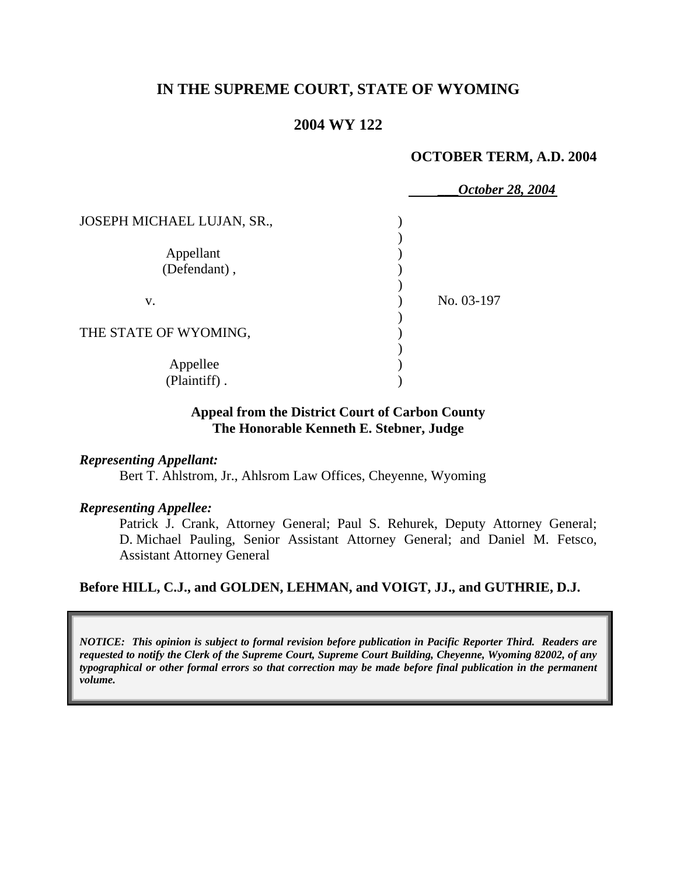# **IN THE SUPREME COURT, STATE OF WYOMING**

## **2004 WY 122**

#### **OCTOBER TERM, A.D. 2004**

|                            | October 28, 2004 |  |
|----------------------------|------------------|--|
| JOSEPH MICHAEL LUJAN, SR., |                  |  |
|                            |                  |  |
| Appellant                  |                  |  |
| (Defendant),               |                  |  |
|                            |                  |  |
| V.                         | No. 03-197       |  |
|                            |                  |  |
| THE STATE OF WYOMING,      |                  |  |
|                            |                  |  |
| Appellee                   |                  |  |
| (Plaintiff).               |                  |  |

#### **Appeal from the District Court of Carbon County The Honorable Kenneth E. Stebner, Judge**

#### *Representing Appellant:*

Bert T. Ahlstrom, Jr., Ahlsrom Law Offices, Cheyenne, Wyoming

#### *Representing Appellee:*

Patrick J. Crank, Attorney General; Paul S. Rehurek, Deputy Attorney General; D. Michael Pauling, Senior Assistant Attorney General; and Daniel M. Fetsco, Assistant Attorney General

#### **Before HILL, C.J., and GOLDEN, LEHMAN, and VOIGT, JJ., and GUTHRIE, D.J.**

*NOTICE: This opinion is subject to formal revision before publication in Pacific Reporter Third. Readers are requested to notify the Clerk of the Supreme Court, Supreme Court Building, Cheyenne, Wyoming 82002, of any typographical or other formal errors so that correction may be made before final publication in the permanent volume.*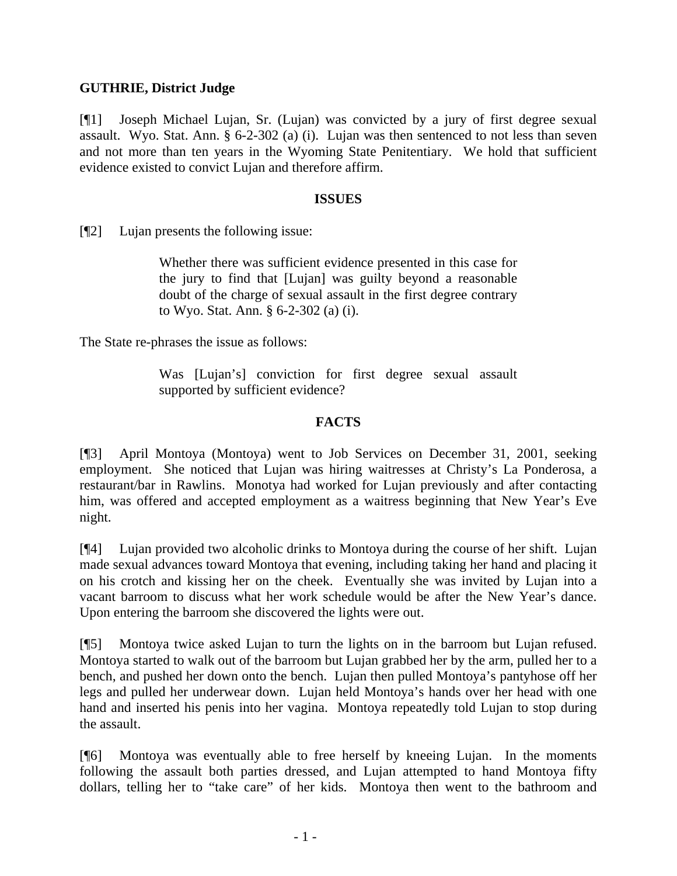# **GUTHRIE, District Judge**

[¶1] Joseph Michael Lujan, Sr. (Lujan) was convicted by a jury of first degree sexual assault. Wyo. Stat. Ann. § 6-2-302 (a) (i). Lujan was then sentenced to not less than seven and not more than ten years in the Wyoming State Penitentiary. We hold that sufficient evidence existed to convict Lujan and therefore affirm.

#### **ISSUES**

[¶2] Lujan presents the following issue:

Whether there was sufficient evidence presented in this case for the jury to find that [Lujan] was guilty beyond a reasonable doubt of the charge of sexual assault in the first degree contrary to Wyo. Stat. Ann. § 6-2-302 (a) (i).

The State re-phrases the issue as follows:

Was [Lujan's] conviction for first degree sexual assault supported by sufficient evidence?

# **FACTS**

[¶3] April Montoya (Montoya) went to Job Services on December 31, 2001, seeking employment. She noticed that Lujan was hiring waitresses at Christy's La Ponderosa, a restaurant/bar in Rawlins. Monotya had worked for Lujan previously and after contacting him, was offered and accepted employment as a waitress beginning that New Year's Eve night.

[¶4] Lujan provided two alcoholic drinks to Montoya during the course of her shift. Lujan made sexual advances toward Montoya that evening, including taking her hand and placing it on his crotch and kissing her on the cheek. Eventually she was invited by Lujan into a vacant barroom to discuss what her work schedule would be after the New Year's dance. Upon entering the barroom she discovered the lights were out.

[¶5] Montoya twice asked Lujan to turn the lights on in the barroom but Lujan refused. Montoya started to walk out of the barroom but Lujan grabbed her by the arm, pulled her to a bench, and pushed her down onto the bench. Lujan then pulled Montoya's pantyhose off her legs and pulled her underwear down. Lujan held Montoya's hands over her head with one hand and inserted his penis into her vagina. Montoya repeatedly told Lujan to stop during the assault.

[¶6] Montoya was eventually able to free herself by kneeing Lujan. In the moments following the assault both parties dressed, and Lujan attempted to hand Montoya fifty dollars, telling her to "take care" of her kids. Montoya then went to the bathroom and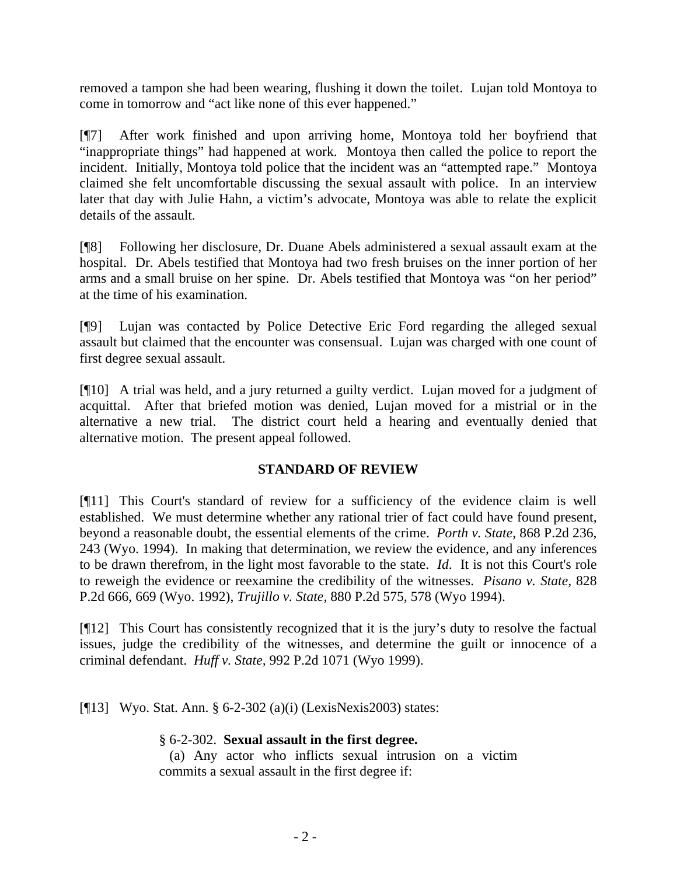removed a tampon she had been wearing, flushing it down the toilet. Lujan told Montoya to come in tomorrow and "act like none of this ever happened."

[¶7] After work finished and upon arriving home, Montoya told her boyfriend that "inappropriate things" had happened at work. Montoya then called the police to report the incident. Initially, Montoya told police that the incident was an "attempted rape." Montoya claimed she felt uncomfortable discussing the sexual assault with police. In an interview later that day with Julie Hahn, a victim's advocate, Montoya was able to relate the explicit details of the assault.

[¶8] Following her disclosure, Dr. Duane Abels administered a sexual assault exam at the hospital. Dr. Abels testified that Montoya had two fresh bruises on the inner portion of her arms and a small bruise on her spine. Dr. Abels testified that Montoya was "on her period" at the time of his examination.

[¶9] Lujan was contacted by Police Detective Eric Ford regarding the alleged sexual assault but claimed that the encounter was consensual. Lujan was charged with one count of first degree sexual assault.

[¶10] A trial was held, and a jury returned a guilty verdict. Lujan moved for a judgment of acquittal. After that briefed motion was denied, Lujan moved for a mistrial or in the alternative a new trial. The district court held a hearing and eventually denied that alternative motion. The present appeal followed.

# **STANDARD OF REVIEW**

[¶11] This Court's standard of review for a sufficiency of the evidence claim is well established. We must determine whether any rational trier of fact could have found present, beyond a reasonable doubt, the essential elements of the crime. *Porth v. State,* 868 P.2d 236, 243 (Wyo. 1994). In making that determination, we review the evidence, and any inferences to be drawn therefrom, in the light most favorable to the state. *Id*. It is not this Court's role to reweigh the evidence or reexamine the credibility of the witnesses. *Pisano v. State,* 828 P.2d 666, 669 (Wyo. 1992), *Trujillo v. State,* 880 P.2d 575, 578 (Wyo 1994).

[¶12] This Court has consistently recognized that it is the jury's duty to resolve the factual issues, judge the credibility of the witnesses, and determine the guilt or innocence of a criminal defendant. *Huff v. State,* 992 P.2d 1071 (Wyo 1999).

[¶13] Wyo. Stat. Ann. § 6-2-302 (a)(i) (LexisNexis2003) states:

## § 6-2-302. **Sexual assault in the first degree.**

(a) Any actor who inflicts sexual intrusion on a victim commits a sexual assault in the first degree if: